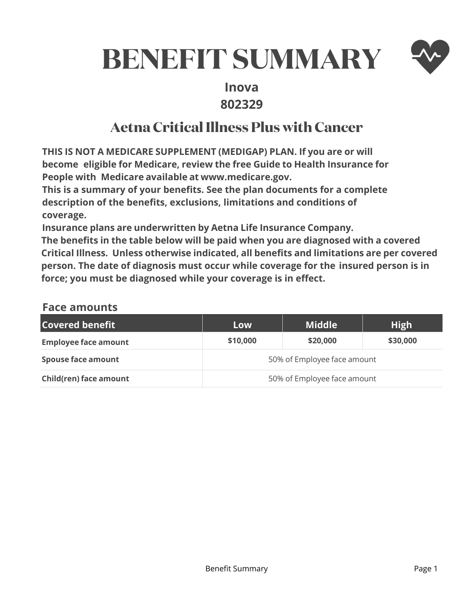# **BENEFIT SUMMARY**



# **Inova 802329**

# **Aetna Critical Illness Plus with Cancer**

**THIS IS NOT A MEDICARE SUPPLEMENT (MEDIGAP) PLAN. If you are or will become eligible for Medicare, review the free Guide to Health Insurance for People with Medicare available at www.medicare.gov.** 

**This is a summary of your benefits. See the plan documents for a complete description of the benefits, exclusions, limitations and conditions of coverage.** 

**Insurance plans are underwritten by Aetna Life Insurance Company.** 

**The benefits in the table below will be paid when you are diagnosed with a covered Critical Illness. Unless otherwise indicated, all benefits and limitations are per covered person. The date of diagnosis must occur while coverage for the insured person is in force; you must be diagnosed while your coverage is in effect.** 

## **Face amounts**

| <b>Covered benefit</b>      | Low                         | <b>Middle</b> | <b>High</b> |
|-----------------------------|-----------------------------|---------------|-------------|
| <b>Employee face amount</b> | \$10,000                    | \$20,000      | \$30,000    |
| <b>Spouse face amount</b>   | 50% of Employee face amount |               |             |
| Child(ren) face amount      | 50% of Employee face amount |               |             |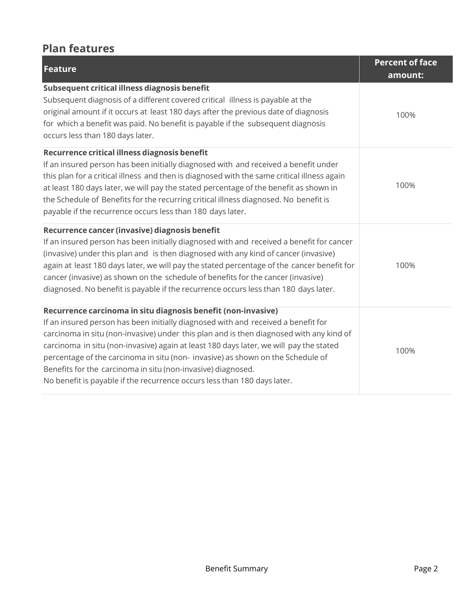# **Plan features**

| Feature                                                                                                                                                                                                                                                                                                                                                                                                                                                                                                                                                                | <b>Percent of face</b><br>amount: |
|------------------------------------------------------------------------------------------------------------------------------------------------------------------------------------------------------------------------------------------------------------------------------------------------------------------------------------------------------------------------------------------------------------------------------------------------------------------------------------------------------------------------------------------------------------------------|-----------------------------------|
| Subsequent critical illness diagnosis benefit<br>Subsequent diagnosis of a different covered critical illness is payable at the<br>original amount if it occurs at least 180 days after the previous date of diagnosis<br>for which a benefit was paid. No benefit is payable if the subsequent diagnosis<br>occurs less than 180 days later.                                                                                                                                                                                                                          | 100%                              |
| Recurrence critical illness diagnosis benefit<br>If an insured person has been initially diagnosed with and received a benefit under<br>this plan for a critical illness and then is diagnosed with the same critical illness again<br>at least 180 days later, we will pay the stated percentage of the benefit as shown in<br>the Schedule of Benefits for the recurring critical illness diagnosed. No benefit is<br>payable if the recurrence occurs less than 180 days later.                                                                                     | 100%                              |
| Recurrence cancer (invasive) diagnosis benefit<br>If an insured person has been initially diagnosed with and received a benefit for cancer<br>(invasive) under this plan and is then diagnosed with any kind of cancer (invasive)<br>again at least 180 days later, we will pay the stated percentage of the cancer benefit for<br>cancer (invasive) as shown on the schedule of benefits for the cancer (invasive)<br>diagnosed. No benefit is payable if the recurrence occurs less than 180 days later.                                                             | 100%                              |
| Recurrence carcinoma in situ diagnosis benefit (non-invasive)<br>If an insured person has been initially diagnosed with and received a benefit for<br>carcinoma in situ (non-invasive) under this plan and is then diagnosed with any kind of<br>carcinoma in situ (non-invasive) again at least 180 days later, we will pay the stated<br>percentage of the carcinoma in situ (non- invasive) as shown on the Schedule of<br>Benefits for the carcinoma in situ (non-invasive) diagnosed.<br>No benefit is payable if the recurrence occurs less than 180 days later. | 100%                              |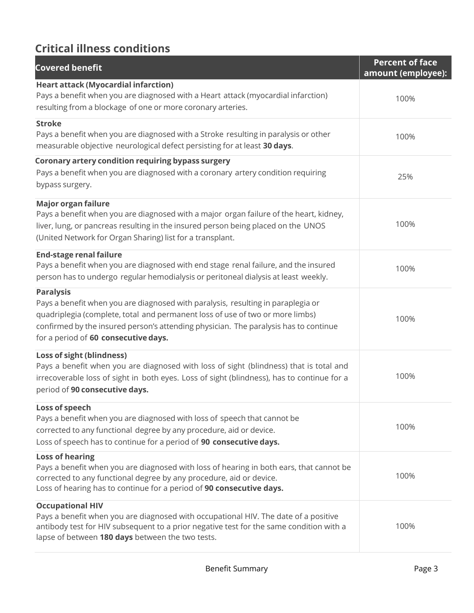# **Critical illness conditions**

| <b>Covered benefit</b>                                                                                                                                                                                                                                                                                                | <b>Percent of face</b><br>amount (employee): |
|-----------------------------------------------------------------------------------------------------------------------------------------------------------------------------------------------------------------------------------------------------------------------------------------------------------------------|----------------------------------------------|
| <b>Heart attack (Myocardial infarction)</b><br>Pays a benefit when you are diagnosed with a Heart attack (myocardial infarction)<br>resulting from a blockage of one or more coronary arteries.                                                                                                                       | 100%                                         |
| <b>Stroke</b><br>Pays a benefit when you are diagnosed with a Stroke resulting in paralysis or other<br>measurable objective neurological defect persisting for at least 30 days.                                                                                                                                     | 100%                                         |
| Coronary artery condition requiring bypass surgery<br>Pays a benefit when you are diagnosed with a coronary artery condition requiring<br>bypass surgery.                                                                                                                                                             | 25%                                          |
| <b>Major organ failure</b><br>Pays a benefit when you are diagnosed with a major organ failure of the heart, kidney,<br>liver, lung, or pancreas resulting in the insured person being placed on the UNOS<br>(United Network for Organ Sharing) list for a transplant.                                                | 100%                                         |
| <b>End-stage renal failure</b><br>Pays a benefit when you are diagnosed with end stage renal failure, and the insured<br>person has to undergo regular hemodialysis or peritoneal dialysis at least weekly.                                                                                                           | 100%                                         |
| <b>Paralysis</b><br>Pays a benefit when you are diagnosed with paralysis, resulting in paraplegia or<br>quadriplegia (complete, total and permanent loss of use of two or more limbs)<br>confirmed by the insured person's attending physician. The paralysis has to continue<br>for a period of 60 consecutive days. | 100%                                         |
| Loss of sight (blindness)<br>Pays a benefit when you are diagnosed with loss of sight (blindness) that is total and<br>irrecoverable loss of sight in both eyes. Loss of sight (blindness), has to continue for a<br>period of 90 consecutive days.                                                                   | 100%                                         |
| Loss of speech<br>Pays a benefit when you are diagnosed with loss of speech that cannot be<br>corrected to any functional degree by any procedure, aid or device.<br>Loss of speech has to continue for a period of 90 consecutive days.                                                                              | 100%                                         |
| <b>Loss of hearing</b><br>Pays a benefit when you are diagnosed with loss of hearing in both ears, that cannot be<br>corrected to any functional degree by any procedure, aid or device.<br>Loss of hearing has to continue for a period of 90 consecutive days.                                                      | 100%                                         |
| <b>Occupational HIV</b><br>Pays a benefit when you are diagnosed with occupational HIV. The date of a positive<br>antibody test for HIV subsequent to a prior negative test for the same condition with a<br>lapse of between 180 days between the two tests.                                                         | 100%                                         |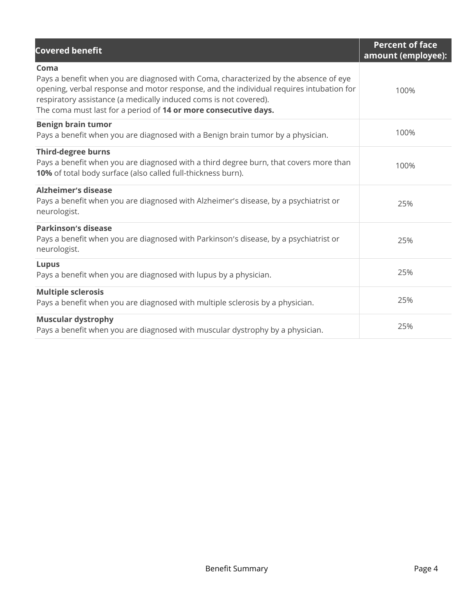| <b>Covered benefit</b>                                                                                                                                                                                                                                                                                                          | <b>Percent of face</b><br>amount (employee): |
|---------------------------------------------------------------------------------------------------------------------------------------------------------------------------------------------------------------------------------------------------------------------------------------------------------------------------------|----------------------------------------------|
| Coma<br>Pays a benefit when you are diagnosed with Coma, characterized by the absence of eye<br>opening, verbal response and motor response, and the individual requires intubation for<br>respiratory assistance (a medically induced coms is not covered).<br>The coma must last for a period of 14 or more consecutive days. | 100%                                         |
| <b>Benign brain tumor</b><br>Pays a benefit when you are diagnosed with a Benign brain tumor by a physician.                                                                                                                                                                                                                    | 100%                                         |
| <b>Third-degree burns</b><br>Pays a benefit when you are diagnosed with a third degree burn, that covers more than<br>10% of total body surface (also called full-thickness burn).                                                                                                                                              | 100%                                         |
| <b>Alzheimer's disease</b><br>Pays a benefit when you are diagnosed with Alzheimer's disease, by a psychiatrist or<br>neurologist.                                                                                                                                                                                              | 25%                                          |
| <b>Parkinson's disease</b><br>Pays a benefit when you are diagnosed with Parkinson's disease, by a psychiatrist or<br>neurologist.                                                                                                                                                                                              | 25%                                          |
| <b>Lupus</b><br>Pays a benefit when you are diagnosed with lupus by a physician.                                                                                                                                                                                                                                                | 25%                                          |
| <b>Multiple sclerosis</b><br>Pays a benefit when you are diagnosed with multiple sclerosis by a physician.                                                                                                                                                                                                                      | 25%                                          |
| <b>Muscular dystrophy</b><br>Pays a benefit when you are diagnosed with muscular dystrophy by a physician.                                                                                                                                                                                                                      | 25%                                          |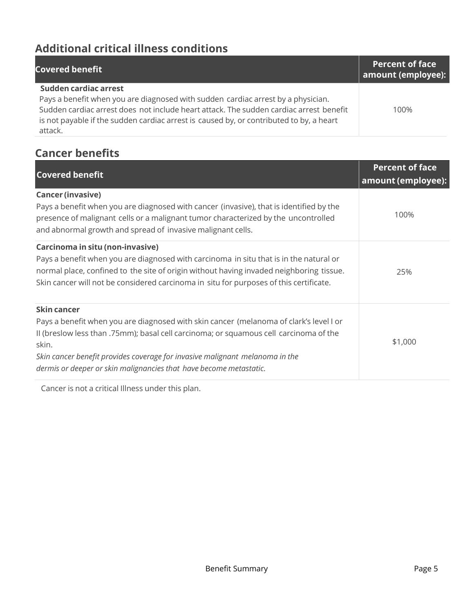# **Additional critical illness conditions**

| <b>Covered benefit</b>                                                                  | <b>Percent of face</b><br>amount (employee): |
|-----------------------------------------------------------------------------------------|----------------------------------------------|
| Sudden cardiac arrest                                                                   |                                              |
| Pays a benefit when you are diagnosed with sudden cardiac arrest by a physician.        |                                              |
| Sudden cardiac arrest does not include heart attack. The sudden cardiac arrest benefit  | 100%                                         |
| is not payable if the sudden cardiac arrest is caused by, or contributed to by, a heart |                                              |
| attack.                                                                                 |                                              |

# **Cancer benefits**

| <b>Covered benefit</b>                                                                                                                                                                                                                                                                                                                                        | <b>Percent of face</b><br>amount (employee): |
|---------------------------------------------------------------------------------------------------------------------------------------------------------------------------------------------------------------------------------------------------------------------------------------------------------------------------------------------------------------|----------------------------------------------|
| <b>Cancer (invasive)</b><br>Pays a benefit when you are diagnosed with cancer (invasive), that is identified by the<br>presence of malignant cells or a malignant tumor characterized by the uncontrolled<br>and abnormal growth and spread of invasive malignant cells.                                                                                      | 100%                                         |
| Carcinoma in situ (non-invasive)<br>Pays a benefit when you are diagnosed with carcinoma in situ that is in the natural or<br>normal place, confined to the site of origin without having invaded neighboring tissue.<br>Skin cancer will not be considered carcinoma in situ for purposes of this certificate.                                               | 25%                                          |
| Skin cancer<br>Pays a benefit when you are diagnosed with skin cancer (melanoma of clark's level I or<br>Il (breslow less than .75mm); basal cell carcinoma; or squamous cell carcinoma of the<br>skin.<br>Skin cancer benefit provides coverage for invasive malignant melanoma in the<br>dermis or deeper or skin malignancies that have become metastatic. | \$1,000                                      |

Cancer is not a critical Illness under this plan.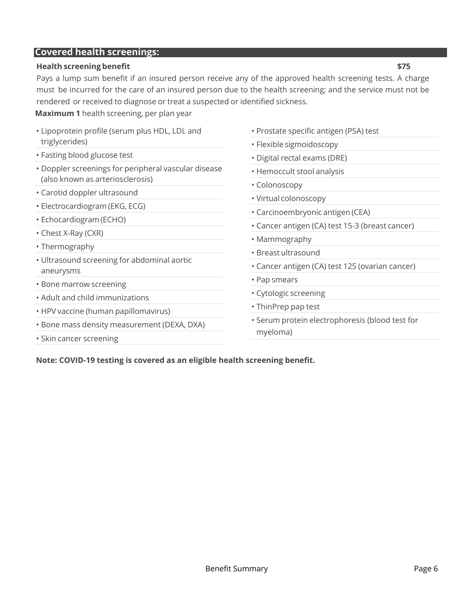#### **Covered health screenings:**

#### **Health screening benefit \$75**

Pays a lump sum benefit if an insured person receive any of the approved health screening tests. A charge must be incurred for the care of an insured person due to the health screening; and the service must not be rendered or received to diagnose or treat a suspected or identified sickness.

**Maximum 1** health screening, per plan year

- Lipoprotein profile (serum plus HDL, LDL and triglycerides)
- Fasting blood glucose test
- Doppler screenings for peripheral vascular disease (also known as arteriosclerosis)
- Carotid doppler ultrasound
- Electrocardiogram (EKG, ECG)
- Echocardiogram (ECHO)
- Chest X-Ray (CXR)
- Thermography
- Ultrasound screening for abdominal aortic aneurysms
- Bone marrow screening
- Adult and child immunizations
- HPV vaccine (human papillomavirus)
- Bone mass density measurement (DEXA, DXA)
- Skin cancer screening
- Prostate specific antigen (PSA) test
- Flexible sigmoidoscopy
- Digital rectal exams (DRE)
- Hemoccult stool analysis
- Colonoscopy
- Virtual colonoscopy
- Carcinoembryonic antigen (CEA)
- Cancer antigen (CA) test 15-3 (breast cancer)
- Mammography
- Breast ultrasound
- Cancer antigen (CA) test 125 (ovarian cancer)
- Pap smears
- Cytologic screening
- ThinPrep pap test
- Serum protein electrophoresis (blood test for myeloma)

Note: COVID-19 testing is covered as an eligible health screening benefit.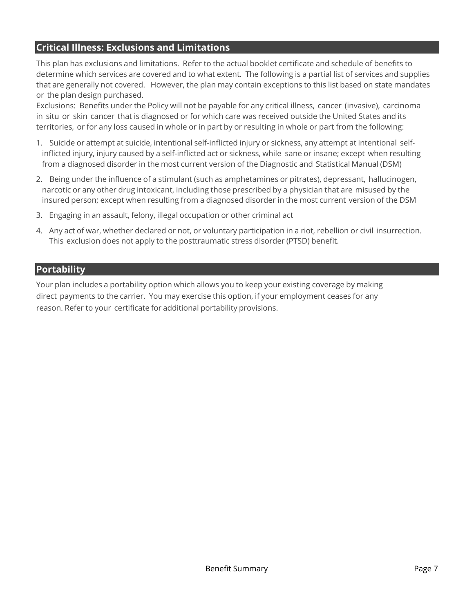## **Critical Illness: Exclusions and Limitations**

This plan has exclusions and limitations. Refer to the actual booklet certificate and schedule of benefits to determine which services are covered and to what extent. The following is a partial list of services and supplies that are generally not covered. However, the plan may contain exceptions to this list based on state mandates or the plan design purchased.

Exclusions: Benefits under the Policy will not be payable for any critical illness, cancer (invasive), carcinoma in situ or skin cancer that is diagnosed or for which care was received outside the United States and its territories, or for any loss caused in whole or in part by or resulting in whole or part from the following:

- 1. Suicide or attempt at suicide, intentional self-inflicted injury or sickness, any attempt at intentional selfinflicted injury, injury caused by a self-inflicted act or sickness, while sane or insane; except when resulting from a diagnosed disorder in the most current version of the Diagnostic and Statistical Manual (DSM)
- 2. Being under the influence of a stimulant (such as amphetamines or pitrates), depressant, hallucinogen, narcotic or any other drug intoxicant, including those prescribed by a physician that are misused by the insured person; except when resulting from a diagnosed disorder in the most current version of the DSM
- 3. Engaging in an assault, felony, illegal occupation or other criminal act
- 4. Any act of war, whether declared or not, or voluntary participation in a riot, rebellion or civil insurrection. This exclusion does not apply to the posttraumatic stress disorder (PTSD) benefit.

### **Portability**

Your plan includes a portability option which allows you to keep your existing coverage by making direct payments to the carrier. You may exercise this option, if your employment ceases for any reason. Refer to your certificate for additional portability provisions.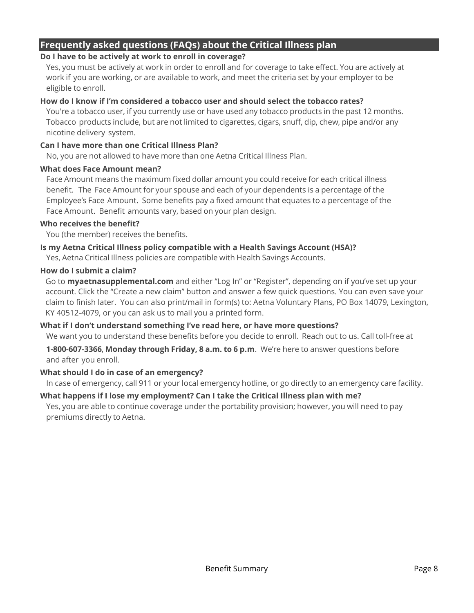## **Frequently asked questions (FAQs) about the Critical Illness plan**

#### **Do I have to be actively at work to enroll in coverage?**

Yes, you must be actively at work in order to enroll and for coverage to take effect. You are actively at work if you are working, or are available to work, and meet the criteria set by your employer to be eligible to enroll.

#### **How do I know if I'm considered a tobacco user and should select the tobacco rates?**

You're a tobacco user, if you currently use or have used any tobacco products in the past 12 months. Tobacco products include, but are not limited to cigarettes, cigars, snuff, dip, chew, pipe and/or any nicotine delivery system.

#### **Can I have more than one Critical Illness Plan?**

No, you are not allowed to have more than one Aetna Critical Illness Plan.

#### **What does Face Amount mean?**

Face Amount means the maximum fixed dollar amount you could receive for each critical illness benefit. The Face Amount for your spouse and each of your dependents is a percentage of the Employee's Face Amount. Some benefits pay a fixed amount that equates to a percentage of the Face Amount. Benefit amounts vary, based on your plan design.

#### **Who receives the benefit?**

You (the member) receives the benefits.

#### **Is my Aetna Critical Illness policy compatible with a Health Savings Account (HSA)?**

Yes, Aetna Critical Illness policies are compatible with Health Savings Accounts.

#### **How do I submit a claim?**

Go to **myaetnasupplemental.com** and either "Log In" or "Register", depending on if you've set up your account. Click the "Create a new claim" button and answer a few quick questions. You can even save your claim to finish later. You can also print/mail in form(s) to: Aetna Voluntary Plans, PO Box 14079, Lexington, KY 40512-4079, or you can ask us to mail you a printed form.

#### **What if I don't understand something I've read here, or have more questions?**

We want you to understand these benefits before you decide to enroll. Reach out to us. Call toll-free at

**1-800-607-3366**, **Monday through Friday, 8 a.m. to 6 p.m**. We're here to answer questions before and after you enroll.

#### **What should I do in case of an emergency?**

In case of emergency, call 911 or your local emergency hotline, or go directly to an emergency care facility.

## **What happens if I lose my employment? Can I take the Critical Illness plan with me?**

Yes, you are able to continue coverage under the portability provision; however, you will need to pay premiums directly to Aetna.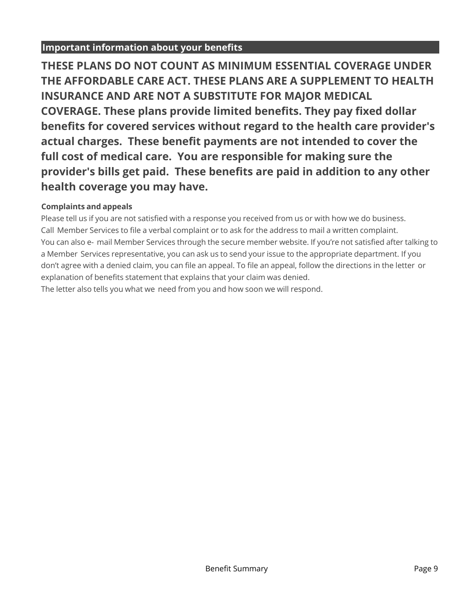## **Important information about your benefits**

**THESE PLANS DO NOT COUNT AS MINIMUM ESSENTIAL COVERAGE UNDER** THE AFFORDABLE CARE ACT. THESE PLANS ARE A SUPPLEMENT TO HEALTH **INSURANCE AND ARE NOT A SUBSTITUTE FOR MAJOR MEDICAL COVERAGE.** These plans provide limited benefits. They pay fixed dollar benefits for covered services without regard to the health care provider's actual charges. These benefit payments are not intended to cover the full cost of medical care. You are responsible for making sure the provider's bills get paid. These benefits are paid in addition to any other health coverage you may have.

## **Complaints and appeals**

Please tell us if you are not satisfied with a response you received from us or with how we do business. Call Member Services to file a verbal complaint or to ask for the address to mail a written complaint. You can also e- mail Member Services through the secure member website. If you're not satisfied after talking to a Member Services representative, you can ask us to send your issue to the appropriate department. If you don't agree with a denied claim, you can file an appeal. To file an appeal, follow the directions in the letter or explanation of benefits statement that explains that your claim was denied.

The letter also tells you what we need from you and how soon we will respond.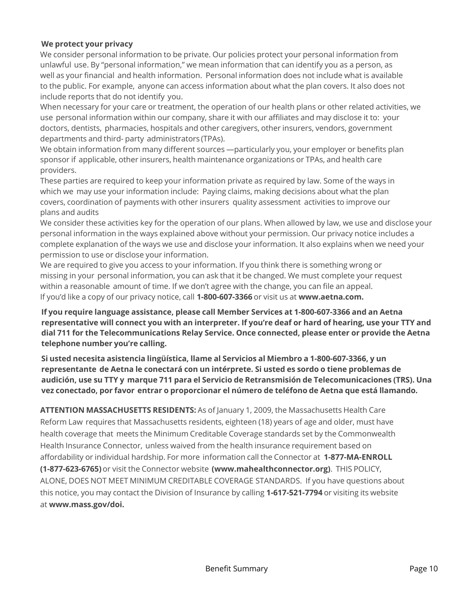#### **We protect your privacy**

We consider personal information to be private. Our policies protect your personal information from unlawful use. By "personal information," we mean information that can identify you as a person, as well as your financial and health information. Personal information does not include what is available to the public. For example, anyone can access information about what the plan covers. It also does not include reports that do not identify you.

When necessary for your care or treatment, the operation of our health plans or other related activities, we use personal information within our company, share it with our affiliates and may disclose it to: your doctors, dentists, pharmacies, hospitals and other caregivers, other insurers, vendors, government departments and third- party administrators (TPAs).

We obtain information from many different sources —particularly you, your employer or benefits plan sponsor if applicable, other insurers, health maintenance organizations or TPAs, and health care providers.

These parties are required to keep your information private as required by law. Some of the ways in which we may use your information include: Paying claims, making decisions about what the plan covers, coordination of payments with other insurers quality assessment activities to improve our plans and audits

We consider these activities key for the operation of our plans. When allowed by law, we use and disclose your personal information in the ways explained above without your permission. Our privacy notice includes a complete explanation of the ways we use and disclose your information. It also explains when we need your permission to use or disclose your information.

We are required to give you access to your information. If you think there is something wrong or missing in your personal information, you can ask that it be changed. We must complete your request within a reasonable amount of time. If we don't agree with the change, you can file an appeal. If you'd like a copy of our privacy notice, call **1-800-607-3366** or visit us at **www.aetna.com.** 

**If you require language assistance, please call Member Services at 1-800-607-3366 and an Aetna representative will connect you with an interpreter. If you're deaf or hard of hearing, use your TTY and dial 711 for the Telecommunications Relay Service. Once connected, please enter or provide the Aetna telephone number you're calling.** 

**Si usted necesita asistencia lingüística, llame al Servicios al Miembro a 1-800-607-3366, y un representante de Aetna le conectará con un intérprete. Si usted es sordo o tiene problemas de audición, use su TTY y marque 711 para el Servicio de Retransmisión de Telecomunicaciones (TRS). Una vez conectado, por favor entrar o proporcionar el número de teléfono de Aetna que está llamando.** 

**ATTENTION MASSACHUSETTS RESIDENTS:** As of January 1, 2009, the Massachusetts Health Care Reform Law requires that Massachusetts residents, eighteen (18) years of age and older, must have health coverage that meets the Minimum Creditable Coverage standards set by the Commonwealth Health Insurance Connector, unless waived from the health insurance requirement based on affordability or individual hardship. For more information call the Connector at **1-877-MA-ENROLL (1-877-623-6765)** or visit the Connector website **(www.mahealthconnector.org)**. THIS POLICY, ALONE, DOES NOT MEET MINIMUM CREDITABLE COVERAGE STANDARDS. If you have questions about this notice, you may contact the Division of Insurance by calling **1-617-521-7794** or visiting its website at **www.mass.gov/doi.**